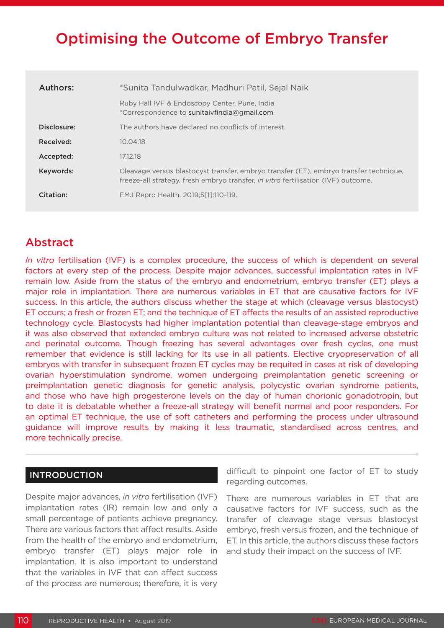# Optimising the Outcome of Embryo Transfer

| Authors:    | *Sunita Tandulwadkar, Madhuri Patil, Sejal Naik                                                                                                                            |
|-------------|----------------------------------------------------------------------------------------------------------------------------------------------------------------------------|
|             | Ruby Hall IVF & Endoscopy Center, Pune, India<br>*Correspondence to sunitaivfindia@gmail.com                                                                               |
| Disclosure: | The authors have declared no conflicts of interest.                                                                                                                        |
| Received:   | 10.04.18                                                                                                                                                                   |
| Accepted:   | 17.12.18                                                                                                                                                                   |
| Keywords:   | Cleavage versus blastocyst transfer, embryo transfer (ET), embryo transfer technique,<br>freeze-all strategy, fresh embryo transfer, in vitro fertilisation (IVF) outcome. |
| Citation:   | EMJ Repro Health. 2019;5[1]:110-119.                                                                                                                                       |

# Abstract

*In vitro* fertilisation (IVF) is a complex procedure, the success of which is dependent on several factors at every step of the process. Despite major advances, successful implantation rates in IVF remain low. Aside from the status of the embryo and endometrium, embryo transfer (ET) plays a major role in implantation. There are numerous variables in ET that are causative factors for IVF success. In this article, the authors discuss whether the stage at which (cleavage versus blastocyst) ET occurs; a fresh or frozen ET; and the technique of ET affects the results of an assisted reproductive technology cycle. Blastocysts had higher implantation potential than cleavage-stage embryos and it was also observed that extended embryo culture was not related to increased adverse obstetric and perinatal outcome. Though freezing has several advantages over fresh cycles, one must remember that evidence is still lacking for its use in all patients. Elective cryopreservation of all embryos with transfer in subsequent frozen ET cycles may be requited in cases at risk of developing ovarian hyperstimulation syndrome, women undergoing preimplantation genetic screening or preimplantation genetic diagnosis for genetic analysis, polycystic ovarian syndrome patients, and those who have high progesterone levels on the day of human chorionic gonadotropin, but to date it is debatable whether a freeze-all strategy will benefit normal and poor responders. For an optimal ET technique, the use of soft catheters and performing the process under ultrasound guidance will improve results by making it less traumatic, standardised across centres, and more technically precise.

## INTRODUCTION

Despite major advances, *in vitro* fertilisation (IVF) implantation rates (IR) remain low and only a small percentage of patients achieve pregnancy. There are various factors that affect results. Aside from the health of the embryo and endometrium, embryo transfer (ET) plays major role in implantation. It is also important to understand that the variables in IVF that can affect success of the process are numerous; therefore, it is very

difficult to pinpoint one factor of ET to study regarding outcomes.

There are numerous variables in ET that are causative factors for IVF success, such as the transfer of cleavage stage versus blastocyst embryo, fresh versus frozen, and the technique of ET. In this article, the authors discuss these factors and study their impact on the success of IVF.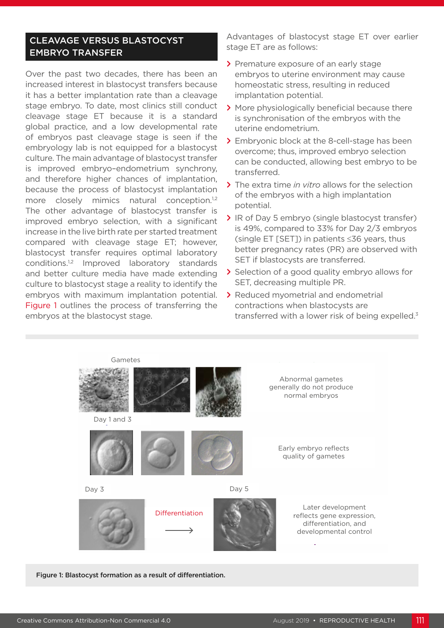## CLEAVAGE VERSUS BLASTOCYST EMBRYO TRANSFER

Over the past two decades, there has been an increased interest in blastocyst transfers because it has a better implantation rate than a cleavage stage embryo. To date, most clinics still conduct cleavage stage ET because it is a standard global practice, and a low developmental rate of embryos past cleavage stage is seen if the embryology lab is not equipped for a blastocyst culture. The main advantage of blastocyst transfer is improved embryo–endometrium synchrony, and therefore higher chances of implantation, because the process of blastocyst implantation more closely mimics natural conception.<sup>1,2</sup> The other advantage of blastocyst transfer is improved embryo selection, with a significant increase in the live birth rate per started treatment compared with cleavage stage ET; however, blastocyst transfer requires optimal laboratory conditions.1,2 Improved laboratory standards and better culture media have made extending culture to blastocyst stage a reality to identify the embryos with maximum implantation potential. Figure 1 outlines the process of transferring the embryos at the blastocyst stage.

Advantages of blastocyst stage ET over earlier stage ET are as follows:

- **>** Premature exposure of an early stage embryos to uterine environment may cause homeostatic stress, resulting in reduced implantation potential.
- **>** More physiologically beneficial because there is synchronisation of the embryos with the uterine endometrium.
- **>** Embryonic block at the 8-cell-stage has been overcome; thus, improved embryo selection can be conducted, allowing best embryo to be transferred.
- **>** The extra time *in vitro* allows for the selection of the embryos with a high implantation potential.
- **>** IR of Day 5 embryo (single blastocyst transfer) is 49%, compared to 33% for Day 2/3 embryos (single ET [SET]) in patients ≤36 years, thus better pregnancy rates (PR) are observed with SET if blastocysts are transferred.
- **>** Selection of a good quality embryo allows for SET, decreasing multiple PR.
- **>** Reduced myometrial and endometrial contractions when blastocysts are transferred with a lower risk of being expelled.<sup>3</sup>



Figure 1: Blastocyst formation as a result of differentiation.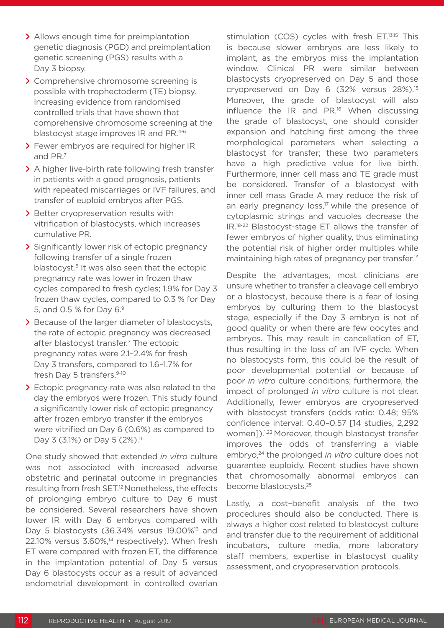- **>** Allows enough time for preimplantation genetic diagnosis (PGD) and preimplantation genetic screening (PGS) results with a Day 3 biopsy.
- **>** Comprehensive chromosome screening is possible with trophectoderm (TE) biopsy. Increasing evidence from randomised controlled trials that have shown that comprehensive chromosome screening at the blastocyst stage improves IR and PR.<sup>4-6</sup>
- **>** Fewer embryos are required for higher IR and PR.7
- **>** A higher live-birth rate following fresh transfer in patients with a good prognosis, patients with repeated miscarriages or IVF failures, and transfer of euploid embryos after PGS.
- **>** Better cryopreservation results with vitrification of blastocysts, which increases cumulative PR.
- **>** Significantly lower risk of ectopic pregnancy following transfer of a single frozen blastocyst.<sup>8</sup> It was also seen that the ectopic pregnancy rate was lower in frozen thaw cycles compared to fresh cycles; 1.9% for Day 3 frozen thaw cycles, compared to 0.3 % for Day 5, and 0.5 % for Day 6.9
- **>** Because of the larger diameter of blastocysts, the rate of ectopic pregnancy was decreased after blastocyst transfer.<sup>7</sup> The ectopic pregnancy rates were 2.1–2.4% for fresh Day 3 transfers, compared to 1.6–1.7% for fresh Day 5 transfers.<sup>9-10</sup>
- **>** Ectopic pregnancy rate was also related to the day the embryos were frozen. This study found a significantly lower risk of ectopic pregnancy after frozen embryo transfer if the embryos were vitrified on Day 6 (0.6%) as compared to Day 3 (3.1%) or Day 5 (2%).<sup>11</sup>

One study showed that extended *in vitro* culture was not associated with increased adverse obstetric and perinatal outcome in pregnancies resulting from fresh SET.12 Nonetheless, the effects of prolonging embryo culture to Day 6 must be considered. Several researchers have shown lower IR with Day 6 embryos compared with Day 5 blastocysts (36.34% versus 19.00%<sup>13</sup> and 22.10% versus 3.60%,<sup>14</sup> respectively). When fresh ET were compared with frozen ET, the difference in the implantation potential of Day 5 versus Day 6 blastocysts occur as a result of advanced endometrial development in controlled ovarian

stimulation (COS) cycles with fresh ET.<sup>13,15</sup> This is because slower embryos are less likely to implant, as the embryos miss the implantation window. Clinical PR were similar between blastocysts cryopreserved on Day 5 and those cryopreserved on Day 6 (32% versus 28%).<sup>15</sup> Moreover, the grade of blastocyst will also influence the IR and PR.16 When discussing the grade of blastocyst, one should consider expansion and hatching first among the three morphological parameters when selecting a blastocyst for transfer; these two parameters have a high predictive value for live birth. Furthermore, inner cell mass and TE grade must be considered. Transfer of a blastocyst with inner cell mass Grade A may reduce the risk of an early pregnancy loss, $17$  while the presence of cytoplasmic strings and vacuoles decrease the IR.18-22 Blastocyst-stage ET allows the transfer of fewer embryos of higher quality, thus eliminating the potential risk of higher order multiples while maintaining high rates of pregnancy per transfer.<sup>13</sup>

Despite the advantages, most clinicians are unsure whether to transfer a cleavage cell embryo or a blastocyst, because there is a fear of losing embryos by culturing them to the blastocyst stage, especially if the Day 3 embryo is not of good quality or when there are few oocytes and embryos. This may result in cancellation of ET, thus resulting in the loss of an IVF cycle. When no blastocysts form, this could be the result of poor developmental potential or because of poor *in vitro* culture conditions; furthermore, the impact of prolonged *in vitro* culture is not clear. Additionally, fewer embryos are cryopreserved with blastocyst transfers (odds ratio: 0.48; 95% confidence interval: 0.40–0.57 [14 studies, 2,292 women]).<sup>1,23</sup> Moreover, though blastocyst transfer improves the odds of transferring a viable embryo,24 the prolonged *in vitro* culture does not guarantee euploidy. Recent studies have shown that chromosomally abnormal embryos can become blastocysts.25

Lastly, a cost–benefit analysis of the two procedures should also be conducted. There is always a higher cost related to blastocyst culture and transfer due to the requirement of additional incubators, culture media, more laboratory staff members, expertise in blastocyst quality assessment, and cryopreservation protocols.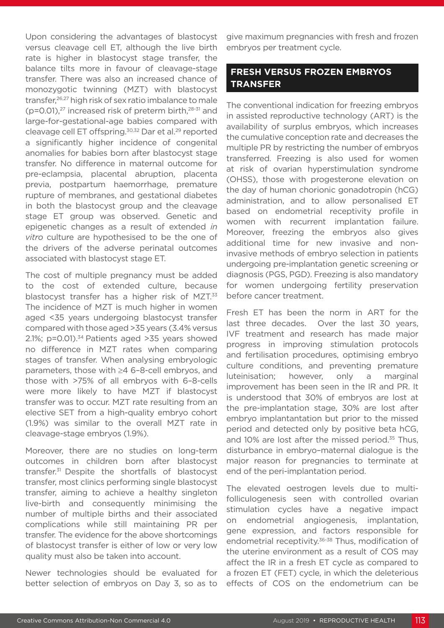Upon considering the advantages of blastocyst versus cleavage cell ET, although the live birth rate is higher in blastocyst stage transfer, the balance tilts more in favour of cleavage-stage transfer. There was also an increased chance of monozygotic twinning (MZT) with blastocyst transfer,<sup>26,27</sup> high risk of sex ratio imbalance to male  $(p=0.01)$ ,<sup>27</sup> increased risk of preterm birth, $28-31$  and large-for-gestational-age babies compared with cleavage cell ET offspring.<sup>30,32</sup> Dar et al.<sup>29</sup> reported a significantly higher incidence of congenital anomalies for babies born after blastocyst stage transfer. No difference in maternal outcome for pre-eclampsia, placental abruption, placenta previa, postpartum haemorrhage, premature rupture of membranes, and gestational diabetes in both the blastocyst group and the cleavage stage ET group was observed. Genetic and epigenetic changes as a result of extended *in vitro* culture are hypothesised to be the one of the drivers of the adverse perinatal outcomes associated with blastocyst stage ET.

The cost of multiple pregnancy must be added to the cost of extended culture, because blastocyst transfer has a higher risk of MZT.<sup>33</sup> The incidence of MZT is much higher in women aged <35 years undergoing blastocyst transfer compared with those aged >35 years (3.4% versus 2.1%; p=0.01). $34$  Patients aged  $>35$  years showed no difference in MZT rates when comparing stages of transfer. When analysing embryologic parameters, those with ≥4 6–8-cell embryos, and those with >75% of all embryos with 6–8-cells were more likely to have MZT if blastocyst transfer was to occur. MZT rate resulting from an elective SET from a high-quality embryo cohort (1.9%) was similar to the overall MZT rate in cleavage-stage embryos (1.9%).

Moreover, there are no studies on long-term outcomes in children born after blastocyst transfer.31 Despite the shortfalls of blastocyst transfer, most clinics performing single blastocyst transfer, aiming to achieve a healthy singleton live-birth and consequently minimising the number of multiple births and their associated complications while still maintaining PR per transfer. The evidence for the above shortcomings of blastocyst transfer is either of low or very low quality must also be taken into account.

Newer technologies should be evaluated for better selection of embryos on Day 3, so as to

give maximum pregnancies with fresh and frozen embryos per treatment cycle.

# **FRESH VERSUS FROZEN EMBRYOS TRANSFER**

The conventional indication for freezing embryos in assisted reproductive technology (ART) is the availability of surplus embryos, which increases the cumulative conception rate and decreases the multiple PR by restricting the number of embryos transferred. Freezing is also used for women at risk of ovarian hyperstimulation syndrome (OHSS), those with progesterone elevation on the day of human chorionic gonadotropin (hCG) administration, and to allow personalised ET based on endometrial receptivity profile in women with recurrent implantation failure. Moreover, freezing the embryos also gives additional time for new invasive and noninvasive methods of embryo selection in patients undergoing pre-implantation genetic screening or diagnosis (PGS, PGD). Freezing is also mandatory for women undergoing fertility preservation before cancer treatment.

Fresh ET has been the norm in ART for the last three decades. Over the last 30 years, IVF treatment and research has made major progress in improving stimulation protocols and fertilisation procedures, optimising embryo culture conditions, and preventing premature luteinisation; however, only a marginal improvement has been seen in the IR and PR. It is understood that 30% of embryos are lost at the pre-implantation stage, 30% are lost after embryo implantantation but prior to the missed period and detected only by positive beta hCG, and 10% are lost after the missed period.<sup>35</sup> Thus, disturbance in embryo–maternal dialogue is the major reason for pregnancies to terminate at end of the peri-implantation period.

The elevated oestrogen levels due to multifolliculogenesis seen with controlled ovarian stimulation cycles have a negative impact on endometrial angiogenesis, implantation, gene expression, and factors responsible for endometrial receptivity.<sup>36-38</sup> Thus, modification of the uterine environment as a result of COS may affect the IR in a fresh ET cycle as compared to a frozen ET (FET) cycle, in which the deleterious effects of COS on the endometrium can be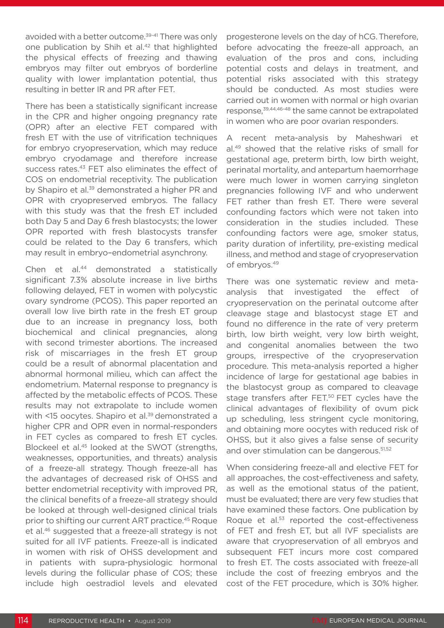avoided with a better outcome.<sup>39-41</sup> There was only one publication by Shih et al.<sup>42</sup> that highlighted the physical effects of freezing and thawing embryos may filter out embryos of borderline quality with lower implantation potential, thus resulting in better IR and PR after FET.

There has been a statistically significant increase in the CPR and higher ongoing pregnancy rate (OPR) after an elective FET compared with fresh ET with the use of vitrification techniques for embryo cryopreservation, which may reduce embryo cryodamage and therefore increase success rates.43 FET also eliminates the effect of COS on endometrial receptivity. The publication by Shapiro et al.<sup>39</sup> demonstrated a higher PR and OPR with cryopreserved embryos. The fallacy with this study was that the fresh ET included both Day 5 and Day 6 fresh blastocysts; the lower OPR reported with fresh blastocysts transfer could be related to the Day 6 transfers, which may result in embryo–endometrial asynchrony.

Chen et al.<sup>44</sup> demonstrated a statistically significant 7.3% absolute increase in live births following delayed, FET in women with polycystic ovary syndrome (PCOS). This paper reported an overall low live birth rate in the fresh ET group due to an increase in pregnancy loss, both biochemical and clinical pregnancies, along with second trimester abortions. The increased risk of miscarriages in the fresh ET group could be a result of abnormal placentation and abnormal hormonal milieu, which can affect the endometrium. Maternal response to pregnancy is affected by the metabolic effects of PCOS. These results may not extrapolate to include women with <15 oocytes. Shapiro et al.<sup>39</sup> demonstrated a higher CPR and OPR even in normal-responders in FET cycles as compared to fresh ET cycles. Blockeel et al.45 looked at the SWOT (strengths, weaknesses, opportunities, and threats) analysis of a freeze-all strategy. Though freeze-all has the advantages of decreased risk of OHSS and better endometrial receptivity with improved PR, the clinical benefits of a freeze-all strategy should be looked at through well-designed clinical trials prior to shifting our current ART practice.45 Roque et al.46 suggested that a freeze-all strategy is not suited for all IVF patients. Freeze-all is indicated in women with risk of OHSS development and in patients with supra-physiologic hormonal levels during the follicular phase of COS; these include high oestradiol levels and elevated

progesterone levels on the day of hCG.Therefore, before advocating the freeze-all approach, an evaluation of the pros and cons, including potential costs and delays in treatment, and potential risks associated with this strategy should be conducted. As most studies were carried out in women with normal or high ovarian response,39,44,46-48 the same cannot be extrapolated in women who are poor ovarian responders.

A recent meta-analysis by Maheshwari et al.49 showed that the relative risks of small for gestational age, preterm birth, low birth weight, perinatal mortality, and antepartum haemorrhage were much lower in women carrying singleton pregnancies following IVF and who underwent FET rather than fresh ET. There were several confounding factors which were not taken into consideration in the studies included. These confounding factors were age, smoker status, parity duration of infertility, pre-existing medical illness, and method and stage of cryopreservation of embryos.49

There was one systematic review and metaanalysis that investigated the effect of cryopreservation on the perinatal outcome after cleavage stage and blastocyst stage ET and found no difference in the rate of very preterm birth, low birth weight, very low birth weight, and congenital anomalies between the two groups, irrespective of the cryopreservation procedure. This meta-analysis reported a higher incidence of large for gestational age babies in the blastocyst group as compared to cleavage stage transfers after FET.<sup>50</sup> FET cycles have the clinical advantages of flexibility of ovum pick up scheduling, less stringent cycle monitoring, and obtaining more oocytes with reduced risk of OHSS, but it also gives a false sense of security and over stimulation can be dangerous.<sup>51,52</sup>

When considering freeze-all and elective FET for all approaches, the cost-effectiveness and safety, as well as the emotional status of the patient, must be evaluated; there are very few studies that have examined these factors. One publication by Roque et al.<sup>53</sup> reported the cost-effectiveness of FET and fresh ET, but all IVF specialists are aware that cryopreservation of all embryos and subsequent FET incurs more cost compared to fresh ET. The costs associated with freeze-all include the cost of freezing embryos and the cost of the FET procedure, which is 30% higher.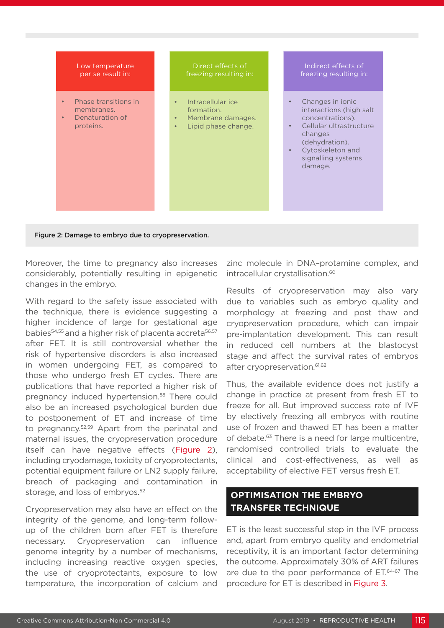

Figure 2: Damage to embryo due to cryopreservation.

Moreover, the time to pregnancy also increases considerably, potentially resulting in epigenetic changes in the embryo.

With regard to the safety issue associated with the technique, there is evidence suggesting a higher incidence of large for gestational age babies<sup>54,55</sup> and a higher risk of placenta accreta<sup>56,57</sup> after FET. It is still controversial whether the risk of hypertensive disorders is also increased in women undergoing FET, as compared to those who undergo fresh ET cycles. There are publications that have reported a higher risk of pregnancy induced hypertension.<sup>58</sup> There could also be an increased psychological burden due to postponement of ET and increase of time to pregnancy.52,59 Apart from the perinatal and maternal issues, the cryopreservation procedure itself can have negative effects (Figure 2), including cryodamage, toxicity of cryoprotectants, potential equipment failure or LN2 supply failure, breach of packaging and contamination in storage, and loss of embryos.<sup>52</sup>

Cryopreservation may also have an effect on the integrity of the genome, and long-term followup of the children born after FET is therefore necessary. Cryopreservation can influence genome integrity by a number of mechanisms, including increasing reactive oxygen species, the use of cryoprotectants, exposure to low temperature, the incorporation of calcium and

zinc molecule in DNA–protamine complex, and intracellular crystallisation.<sup>60</sup>

Results of cryopreservation may also vary due to variables such as embryo quality and morphology at freezing and post thaw and cryopreservation procedure, which can impair pre-implantation development. This can result in reduced cell numbers at the blastocyst stage and affect the survival rates of embryos after cryopreservation.<sup>61,62</sup>

Thus, the available evidence does not justify a change in practice at present from fresh ET to freeze for all. But improved success rate of IVF by electively freezing all embryos with routine use of frozen and thawed ET has been a matter of debate.<sup>63</sup> There is a need for large multicentre, randomised controlled trials to evaluate the clinical and cost-effectiveness, as well as acceptability of elective FET versus fresh ET.

# **OPTIMISATION THE EMBRYO TRANSFER TECHNIQUE**

ET is the least successful step in the IVF process and, apart from embryo quality and endometrial receptivity, it is an important factor determining the outcome. Approximately 30% of ART failures are due to the poor performance of ET.64-67 The procedure for ET is described in Figure 3.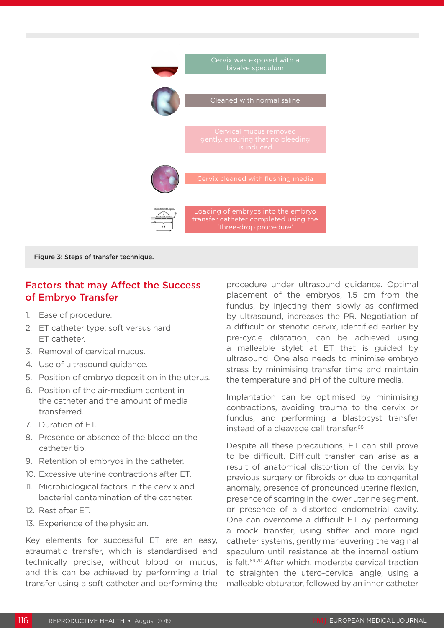

Figure 3: Steps of transfer technique.

## Factors that may Affect the Success of Embryo Transfer

- 1. Ease of procedure.
- 2. ET catheter type: soft versus hard ET catheter.
- 3. Removal of cervical mucus.
- 4. Use of ultrasound guidance.
- 5. Position of embryo deposition in the uterus.
- 6. Position of the air-medium content in the catheter and the amount of media transferred.
- 7. Duration of ET.
- 8. Presence or absence of the blood on the catheter tip.
- 9. Retention of embryos in the catheter.
- 10. Excessive uterine contractions after ET.
- 11. Microbiological factors in the cervix and bacterial contamination of the catheter.
- 12. Rest after ET.
- 13. Experience of the physician.

Key elements for successful ET are an easy, atraumatic transfer, which is standardised and technically precise, without blood or mucus, and this can be achieved by performing a trial transfer using a soft catheter and performing the

procedure under ultrasound guidance. Optimal placement of the embryos, 1.5 cm from the fundus, by injecting them slowly as confirmed by ultrasound, increases the PR. Negotiation of a difficult or stenotic cervix, identified earlier by pre-cycle dilatation, can be achieved using a malleable stylet at ET that is guided by ultrasound. One also needs to minimise embryo stress by minimising transfer time and maintain the temperature and pH of the culture media.

Implantation can be optimised by minimising contractions, avoiding trauma to the cervix or fundus, and performing a blastocyst transfer instead of a cleavage cell transfer.<sup>68</sup>

Despite all these precautions, ET can still prove to be difficult. Difficult transfer can arise as a result of anatomical distortion of the cervix by previous surgery or fibroids or due to congenital anomaly, presence of pronounced uterine flexion, presence of scarring in the lower uterine segment, or presence of a distorted endometrial cavity. One can overcome a difficult ET by performing a mock transfer, using stiffer and more rigid catheter systems, gently maneuvering the vaginal speculum until resistance at the internal ostium is felt.<sup>69,70</sup> After which, moderate cervical traction to straighten the utero-cervical angle, using a malleable obturator, followed by an inner catheter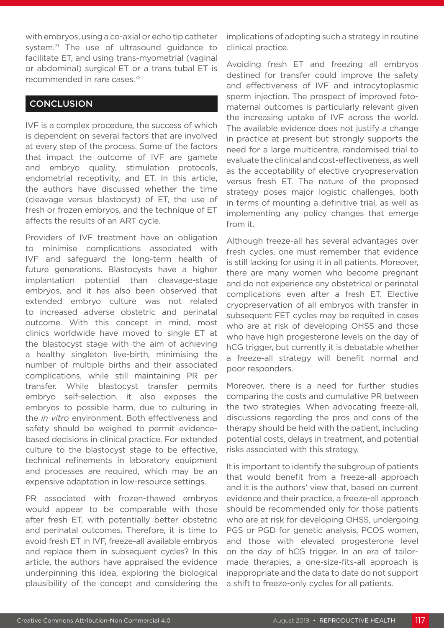with embryos, using a co-axial or echo tip catheter system.<sup>71</sup> The use of ultrasound quidance to facilitate ET, and using trans-myometrial (vaginal or abdominal) surgical ET or a trans tubal ET is recommended in rare cases.72

### **CONCLUSION**

IVF is a complex procedure, the success of which is dependent on several factors that are involved at every step of the process. Some of the factors that impact the outcome of IVF are gamete and embryo quality, stimulation protocols, endometrial receptivity, and ET. In this article, the authors have discussed whether the time (cleavage versus blastocyst) of ET, the use of fresh or frozen embryos, and the technique of ET affects the results of an ART cycle.

Providers of IVF treatment have an obligation to minimise complications associated with IVF and safeguard the long-term health of future generations. Blastocysts have a higher implantation potential than cleavage-stage embryos, and it has also been observed that extended embryo culture was not related to increased adverse obstetric and perinatal outcome. With this concept in mind, most clinics worldwide have moved to single ET at the blastocyst stage with the aim of achieving a healthy singleton live-birth, minimising the number of multiple births and their associated complications, while still maintaining PR per transfer. While blastocyst transfer permits embryo self-selection, it also exposes the embryos to possible harm, due to culturing in the *in vitro* environment. Both effectiveness and safety should be weighed to permit evidencebased decisions in clinical practice. For extended culture to the blastocyst stage to be effective, technical refinements in laboratory equipment and processes are required, which may be an expensive adaptation in low-resource settings.

PR associated with frozen-thawed embryos would appear to be comparable with those after fresh ET, with potentially better obstetric and perinatal outcomes. Therefore, it is time to avoid fresh ET in IVF, freeze-all available embryos and replace them in subsequent cycles? In this article, the authors have appraised the evidence underpinning this idea, exploring the biological plausibility of the concept and considering the

implications of adopting such a strategy in routine clinical practice.

Avoiding fresh ET and freezing all embryos destined for transfer could improve the safety and effectiveness of IVF and intracytoplasmic sperm injection. The prospect of improved fetomaternal outcomes is particularly relevant given the increasing uptake of IVF across the world. The available evidence does not justify a change in practice at present but strongly supports the need for a large multicentre, randomised trial to evaluate the clinical and cost-effectiveness, as well as the acceptability of elective cryopreservation versus fresh ET. The nature of the proposed strategy poses major logistic challenges, both in terms of mounting a definitive trial, as well as implementing any policy changes that emerge from it.

Although freeze-all has several advantages over fresh cycles, one must remember that evidence is still lacking for using it in all patients. Moreover, there are many women who become pregnant and do not experience any obstetrical or perinatal complications even after a fresh ET. Elective cryopreservation of all embryos with transfer in subsequent FET cycles may be requited in cases who are at risk of developing OHSS and those who have high progesterone levels on the day of hCG trigger, but currently it is debatable whether a freeze-all strategy will benefit normal and poor responders.

Moreover, there is a need for further studies comparing the costs and cumulative PR between the two strategies. When advocating freeze-all, discussions regarding the pros and cons of the therapy should be held with the patient, including potential costs, delays in treatment, and potential risks associated with this strategy.

It is important to identify the subgroup of patients that would benefit from a freeze-all approach and it is the authors' view that, based on current evidence and their practice, a freeze-all approach should be recommended only for those patients who are at risk for developing OHSS, undergoing PGS or PGD for genetic analysis, PCOS women, and those with elevated progesterone level on the day of hCG trigger. In an era of tailormade therapies, a one-size-fits-all approach is inappropriate and the data to date do not support a shift to freeze-only cycles for all patients.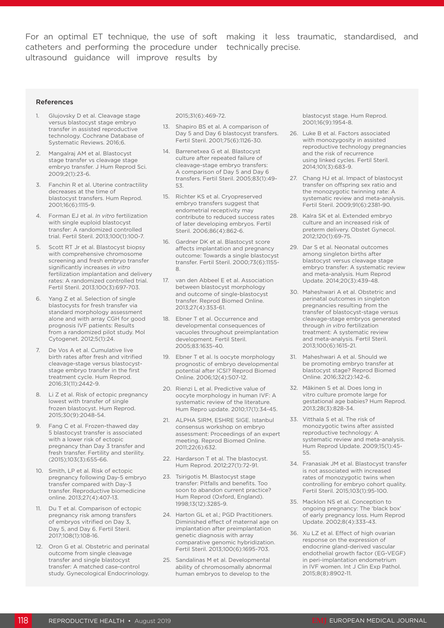catheters and performing the procedure under technically precise. ultrasound guidance will improve results by

For an optimal ET technique, the use of soft making it less traumatic, standardised, and

#### References

- 1. Glujovsky D et al. Cleavage stage versus blastocyst stage embryo transfer in assisted reproductive technology. Cochrane Database of Systematic Reviews. 2016;6.
- 2. Mangalraj AM et al. Blastocyst stage transfer vs cleavage stage embryo transfer. J Hum Reprod Sci. 2009;2(1):23-6.
- 3. Fanchin R et al. Uterine contractility decreases at the time of blastocyst transfers. Hum Reprod. 2001;16(6):1115-9.
- 4. Forman EJ et al. *In vitro* fertilization with single euploid blastocyst transfer: A randomized controlled trial. Fertil Steril. 2013;100(1):100-7.
- 5. Scott RT Jr et al. Blastocyst biopsy with comprehensive chromosome screening and fresh embryo transfer significantly increases *in vitro*  fertilization implantation and delivery rates: A randomized controlled trial. Fertil Steril. 2013;100(3):697-703.
- 6. Yang Z et al. Selection of single blastocysts for fresh transfer via standard morphology assessment alone and with array CGH for good prognosis IVF patients: Results from a randomized pilot study. Mol Cytogenet. 2012;5(1):24.
- De Vos A et al. Cumulative live birth rates after fresh and vitrified cleavage-stage versus blastocyststage embryo transfer in the first treatment cycle. Hum Reprod. 2016;31(11):2442-9.
- 8. Li Z et al. Risk of ectopic pregnancy lowest with transfer of single frozen blastocyst. Hum Reprod. 2015;30(9):2048-54.
- 9. Fang C et al. Frozen-thawed day 5 blastocyst transfer is associated with a lower risk of ectopic pregnancy than Day 3 transfer and fresh transfer. Fertility and sterility. (2015);103(3):655-66.
- 10. Smith, LP et al. Risk of ectopic pregnancy following Day-5 embryo transfer compared with Day-3 transfer. Reproductive biomedicine online. 2013;27(4):407-13.
- 11. Du T et al. Comparison of ectopic pregnancy risk among transfers of embryos vitrified on Day 3, Day 5, and Day 6. Fertil Steril. 2017;108(1):108-16.
- 12. Oron G et al. Obstetric and perinatal outcome from single cleavage transfer and single blastocyst transfer: A matched case-control study. Gynecological Endocrinology.

2015;31(6):469-72.

- 13. Shapiro BS et al. A comparison of Day 5 and Day 6 blastocyst transfers. Fertil Steril. 2001;75(6):1126-30.
- 14. Barrenetxea G et al. Blastocyst culture after repeated failure of cleavage-stage embryo transfers: A comparison of Day 5 and Day 6 transfers. Fertil Steril. 2005;83(1):49- 53.
- 15. Richter KS et al. Cryopreserved embryo transfers suggest that endometrial receptivity may contribute to reduced success rates of later developing embryos. Fertil Steril. 2006;86(4):862-6.
- 16. Gardner DK et al. Blastocyst score affects implantation and pregnancy outcome: Towards a single blastocyst transfer. Fertil Steril. 2000;73(6):1155- 8.
- 17. van den Abbeel E et al. Association between blastocyst morphology and outcome of single-blastocyst transfer. Reprod Biomed Online. 2013;27(4):353-61.
- 18. Ebner T et al. Occurrence and developmental consequences of vacuoles throughout preimplantation development. Fertil Steril. 2005;83:1635-40.
- 19. Ebner T et al. Is oocyte morphology prognostic of embryo developmental potential after ICSI? Reprod Biomed Online. 2006;12(4):507-12.
- 20. Rienzi L et al. Predictive value of oocyte morphology in human IVF: A systematic review of the literature. Hum Repro update. 2010;17(1):34-45.
- 21. ALPHA SIRM, ESHRE SIGE. Istanbul consensus workshop on embryo assessment: Proceedings of an expert meeting. Reprod Biomed Online. 2011;22(6):632.
- 22. Hardarson T et al. The blastocyst. Hum Reprod. 2012;27(1):72-91.
- 23. Tsirigotis M. Blastocyst stage transfer: Pitfalls and benefits. Too soon to abandon current practice? Hum Reprod (Oxford, England). 1998;13(12):3285-9.
- 24. Harton GL et al.; PGD Practitioners. Diminished effect of maternal age on implantation after preimplantation genetic diagnosis with array comparative genomic hybridization. Fertil Steril. 2013;100(6):1695-703.
- 25. Sandalinas M et al. Developmental ability of chromosomally abnormal human embryos to develop to the

blastocyst stage. Hum Reprod. 2001;16(9):1954-8.

- 26. Luke B et al. Factors associated with monozygosity in assisted reproductive technology pregnancies and the risk of recurrence using linked cycles. Fertil Steril. 2014;101(3):683-9.
- 27. Chang HJ et al. Impact of blastocyst transfer on offspring sex ratio and the monozygotic twinning rate: A systematic review and meta-analysis. Fertil Steril. 2009;91(6):2381-90.
- 28. Kalra SK et al. Extended embryo culture and an increased risk of preterm delivery. Obstet Gynecol. 2012;120(1):69-75.
- 29. Dar S et al. Neonatal outcomes among singleton births after blastocyst versus cleavage stage embryo transfer: A systematic review and meta-analysis. Hum Reprod Update. 2014;20(3):439-48.
- 30. Maheshwari A et al. Obstetric and perinatal outcomes in singleton pregnancies resulting from the transfer of blastocyst-stage versus cleavage-stage embryos generated through *in vitro* fertilization treatment: A systematic review and meta-analysis. Fertil Steril. 2013;100(6):1615-21.
- 31. Maheshwari A et al. Should we be promoting embryo transfer at blastocyst stage? Reprod Biomed Online. 2016;32(2):142-6.
- 32. Mäkinen S et al. Does long in vitro culture promote large for gestational age babies? Hum Reprod. 2013;28(3):828-34.
- 33. Vitthala S et al. The risk of monozygotic twins after assisted reproductive technology: A systematic review and meta-analysis. Hum Reprod Update. 2009;15(1):45- 55.
- 34. Franasiak JM et al. Blastocyst transfer is not associated with increased rates of monozygotic twins when controlling for embryo cohort quality. Fertil Steril. 2015;103(1):95-100.
- 35. Macklon NS et al. Conception to ongoing pregnancy: The 'black box' of early pregnancy loss. Hum Reprod Update. 2002;8(4):333-43.
- 36. Xu LZ et al. Effect of high ovarian response on the expression of endocrine gland-derived vascular endothelial growth factor (EG-VEGF) in peri-implantation endometrium in IVF women. Int J Clin Exp Pathol. 2015;8(8):8902-11.